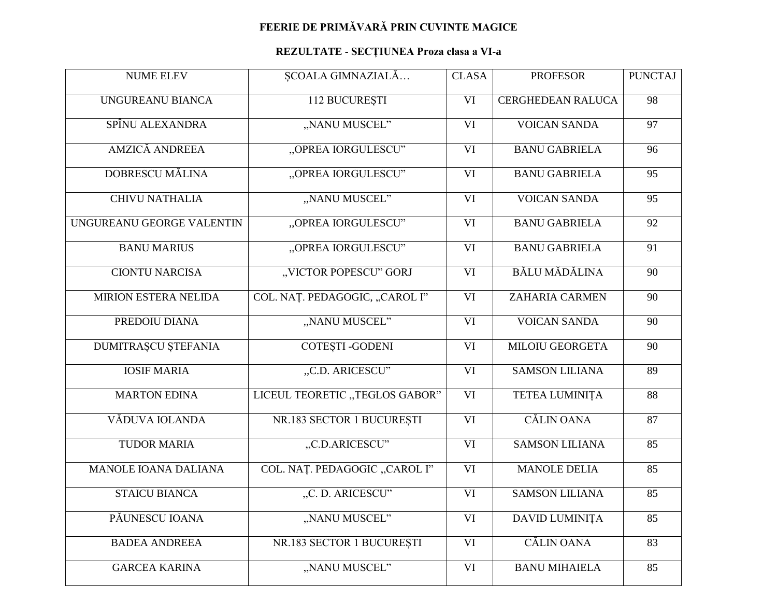## FEERIE DE PRIMĂVARĂ PRIN CUVINTE MAGICE

## REZULTATE - SECȚIUNEA Proza clasa a VI-a

| <b>NUME ELEV</b>           | ȘCOALA GIMNAZIALĂ              | <b>CLASA</b>           | <b>PROFESOR</b>          | <b>PUNCTAJ</b>  |
|----------------------------|--------------------------------|------------------------|--------------------------|-----------------|
| UNGUREANU BIANCA           | 112 BUCUREȘTI                  | VI                     | <b>CERGHEDEAN RALUCA</b> | 98              |
| SPÎNU ALEXANDRA            | "NANU MUSCEL"                  | <b>VI</b>              | <b>VOICAN SANDA</b>      | $\overline{97}$ |
| <b>AMZICĂ ANDREEA</b>      | "OPREA IORGULESCU"             | $\overline{\text{VI}}$ | <b>BANU GABRIELA</b>     | $\overline{96}$ |
| DOBRESCU MĂLINA            | "OPREA IORGULESCU"             | VI                     | <b>BANU GABRIELA</b>     | 95              |
| <b>CHIVU NATHALIA</b>      | "NANU MUSCEL"                  | VI                     | <b>VOICAN SANDA</b>      | 95              |
| UNGUREANU GEORGE VALENTIN  | "OPREA IORGULESCU"             | VI                     | <b>BANU GABRIELA</b>     | 92              |
| <b>BANU MARIUS</b>         | "OPREA IORGULESCU"             | VI                     | <b>BANU GABRIELA</b>     | 91              |
| <b>CIONTU NARCISA</b>      | "VICTOR POPESCU" GORJ          | $\overline{\text{VI}}$ | <b>BĂLU MĂDĂLINA</b>     | $\overline{90}$ |
| MIRION ESTERA NELIDA       | COL. NAȚ. PEDAGOGIC, "CAROL I" | VI                     | <b>ZAHARIA CARMEN</b>    | 90              |
| PREDOIU DIANA              | "NANU MUSCEL"                  | <b>VI</b>              | <b>VOICAN SANDA</b>      | 90              |
| <b>DUMITRAȘCU ȘTEFANIA</b> | COTEȘTI - GODENI               | <b>VI</b>              | <b>MILOIU GEORGETA</b>   | 90              |
| <b>IOSIF MARIA</b>         | "C.D. ARICESCU"                | <b>VI</b>              | <b>SAMSON LILIANA</b>    | 89              |
| <b>MARTON EDINA</b>        | LICEUL TEORETIC "TEGLOS GABOR" | VI                     | <b>TETEA LUMINIȚA</b>    | 88              |
| VĂDUVA IOLANDA             | NR.183 SECTOR 1 BUCUREȘTI      | $\overline{\text{VI}}$ | <b>CĂLIN OANA</b>        | $\overline{87}$ |
| <b>TUDOR MARIA</b>         | "C.D.ARICESCU"                 | VI                     | <b>SAMSON LILIANA</b>    | 85              |
| MANOLE IOANA DALIANA       | COL. NAȚ. PEDAGOGIC "CAROL I"  | $\overline{\text{VI}}$ | <b>MANOLE DELIA</b>      | 85              |
| <b>STAICU BIANCA</b>       | "C. D. ARICESCU"               | <b>VI</b>              | <b>SAMSON LILIANA</b>    | 85              |
| PĂUNESCU IOANA             | "NANU MUSCEL"                  | VI                     | DAVID LUMINIȚA           | 85              |
| <b>BADEA ANDREEA</b>       | NR.183 SECTOR 1 BUCURESTI      | VI                     | <b>CĂLIN OANA</b>        | 83              |
| <b>GARCEA KARINA</b>       | "NANU MUSCEL"                  | VI                     | <b>BANU MIHAIELA</b>     | 85              |